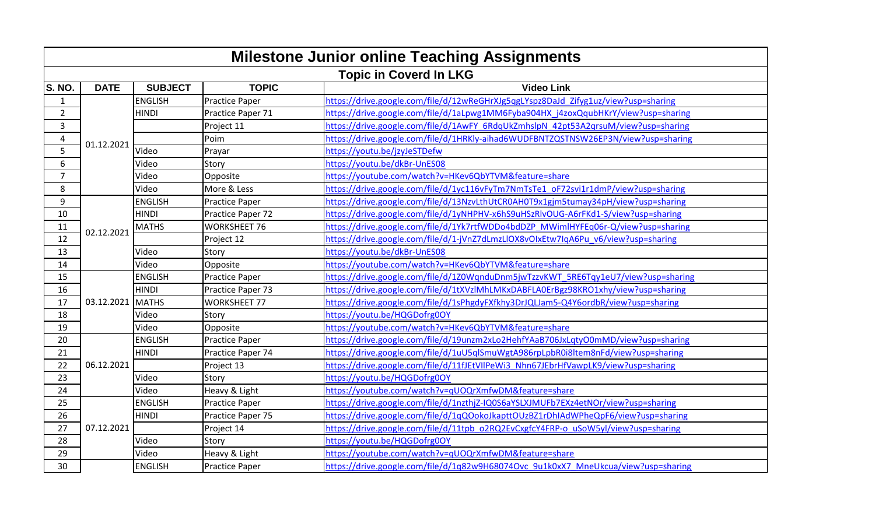| <b>Milestone Junior online Teaching Assignments</b> |                  |                |                       |                                                                                    |  |  |  |
|-----------------------------------------------------|------------------|----------------|-----------------------|------------------------------------------------------------------------------------|--|--|--|
| <b>Topic in Coverd In LKG</b>                       |                  |                |                       |                                                                                    |  |  |  |
| <b>S. NO.</b>                                       | <b>DATE</b>      | <b>SUBJECT</b> | <b>TOPIC</b>          | <b>Video Link</b>                                                                  |  |  |  |
| $\mathbf{1}$                                        | 01.12.2021       | <b>ENGLISH</b> | <b>Practice Paper</b> | https://drive.google.com/file/d/12wReGHrXJg5qgLYspz8DaJd Zifyg1uz/view?usp=sharing |  |  |  |
| $\overline{2}$                                      |                  | <b>HINDI</b>   | Practice Paper 71     | https://drive.google.com/file/d/1aLpwg1MM6Fyba904HX j4zoxQqubHKrY/view?usp=sharing |  |  |  |
| $\overline{3}$                                      |                  |                | Project 11            | https://drive.google.com/file/d/1AwFY_6RdqUkZmhslpN_42pt53A2qrsuM/view?usp=sharing |  |  |  |
| 4                                                   |                  |                | Poim                  | https://drive.google.com/file/d/1HRKly-aihad6WUDFBNTZQSTNSW26EP3N/view?usp=sharing |  |  |  |
| 5                                                   |                  | Video          | Prayar                | https://youtu.be/jzyJeSTDefw                                                       |  |  |  |
| 6                                                   |                  | Video          | Story                 | https://youtu.be/dkBr-UnES08                                                       |  |  |  |
| $\overline{7}$                                      |                  | Video          | Opposite              | https://youtube.com/watch?v=HKev6QbYTVM&feature=share                              |  |  |  |
| 8                                                   |                  | Video          | More & Less           | https://drive.google.com/file/d/1yc116vFyTm7NmTsTe1_oF72svi1r1dmP/view?usp=sharing |  |  |  |
| 9                                                   |                  | <b>ENGLISH</b> | <b>Practice Paper</b> | https://drive.google.com/file/d/13NzvLthUtCR0AH0T9x1gjm5tumay34pH/view?usp=sharing |  |  |  |
| 10                                                  |                  | <b>HINDI</b>   | Practice Paper 72     | https://drive.google.com/file/d/1yNHPHV-x6hS9uHSzRIvOUG-A6rFKd1-S/view?usp=sharing |  |  |  |
| 11                                                  | 02.12.2021       | <b>MATHS</b>   | <b>WORKSHEET 76</b>   | https://drive.google.com/file/d/1Yk7rtfWDDo4bdDZP MWimlHYFEq06r-Q/view?usp=sharing |  |  |  |
| 12                                                  |                  |                | Project 12            | https://drive.google.com/file/d/1-jVnZ7dLmzLlOX8vOIxEtw7IqA6Pu_v6/view?usp=sharing |  |  |  |
| 13                                                  |                  | Video          | Story                 | https://youtu.be/dkBr-UnES08                                                       |  |  |  |
| 14                                                  |                  | Video          | Opposite              | https://youtube.com/watch?v=HKev6QbYTVM&feature=share                              |  |  |  |
| 15                                                  |                  | <b>ENGLISH</b> | <b>Practice Paper</b> | https://drive.google.com/file/d/1Z0WqnduDnm5jwTzzvKWT 5RE6Tqy1eU7/view?usp=sharing |  |  |  |
| 16                                                  |                  | <b>HINDI</b>   | Practice Paper 73     | https://drive.google.com/file/d/1tXVzIMhLMKxDABFLA0ErBgz98KRO1xhy/view?usp=sharing |  |  |  |
| 17                                                  | 03.12.2021 MATHS |                | <b>WORKSHEET 77</b>   | https://drive.google.com/file/d/1sPhgdyFXfkhy3DrJQLJam5-Q4Y6ordbR/view?usp=sharing |  |  |  |
| 18                                                  |                  | Video          | Story                 | https://youtu.be/HQGDofrg0OY                                                       |  |  |  |
| 19                                                  |                  | Video          | Opposite              | https://youtube.com/watch?v=HKev6QbYTVM&feature=share                              |  |  |  |
| 20                                                  |                  | <b>ENGLISH</b> | <b>Practice Paper</b> | https://drive.google.com/file/d/19unzm2xLo2HehfYAaB706JxLqtyO0mMD/view?usp=sharing |  |  |  |
| 21                                                  |                  | <b>HINDI</b>   | Practice Paper 74     | https://drive.google.com/file/d/1uU5qlSmuWgtA986rpLpbR0i8ltem8nFd/view?usp=sharing |  |  |  |
| 22                                                  | 06.12.2021       |                | Project 13            | https://drive.google.com/file/d/11fJEtVIIPeWi3_Nhn67JEbrHfVawpLK9/view?usp=sharing |  |  |  |
| 23                                                  |                  | Video          | Story                 | https://youtu.be/HQGDofrg0OY                                                       |  |  |  |
| 24                                                  |                  | Video          | Heavy & Light         | https://youtube.com/watch?v=qUOQrXmfwDM&feature=share                              |  |  |  |
| 25                                                  |                  | <b>ENGLISH</b> | <b>Practice Paper</b> | https://drive.google.com/file/d/1nzthjZ-IQ0S6aYSLXJMUFb7EXz4etNOr/view?usp=sharing |  |  |  |
| 26                                                  | 07.12.2021       | <b>HINDI</b>   | Practice Paper 75     | https://drive.google.com/file/d/1qQOokoJkapttOUzBZ1rDhIAdWPheQpF6/view?usp=sharing |  |  |  |
| 27                                                  |                  |                | Project 14            | https://drive.google.com/file/d/11tpb_o2RQ2EvCxgfcY4FRP-o_uSoW5yl/view?usp=sharing |  |  |  |
| 28                                                  |                  | Video          | Story                 | https://youtu.be/HQGDofrg0OY                                                       |  |  |  |
| 29                                                  |                  | Video          | Heavy & Light         | https://youtube.com/watch?v=qUOQrXmfwDM&feature=share                              |  |  |  |
| 30                                                  |                  | <b>ENGLISH</b> | <b>Practice Paper</b> | https://drive.google.com/file/d/1q82w9H68074Ovc 9u1k0xX7 MneUkcua/view?usp=sharing |  |  |  |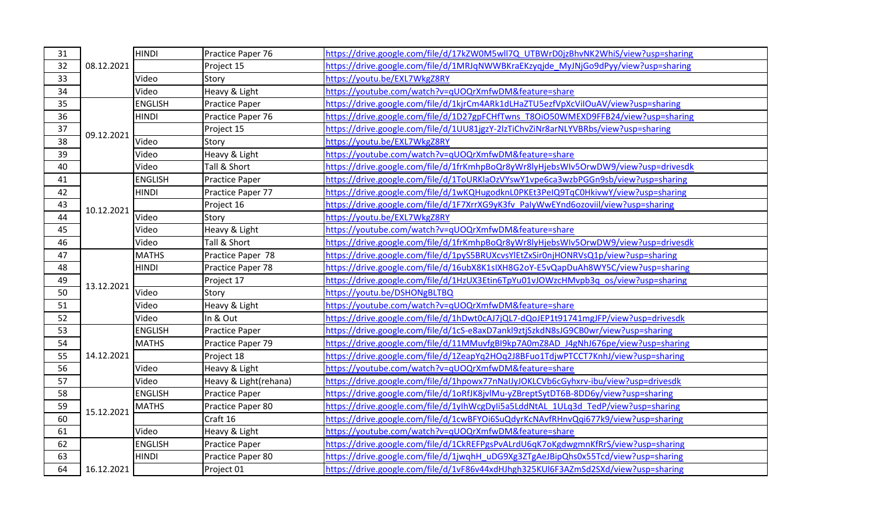| 31 | 08.12.2021 | <b>HINDI</b>   | Practice Paper 76     | https://drive.google.com/file/d/17kZW0M5wll7Q_UTBWrD0jzBhvNK2WhiS/view?usp=sharing  |
|----|------------|----------------|-----------------------|-------------------------------------------------------------------------------------|
| 32 |            |                | Project 15            | https://drive.google.com/file/d/1MRJqNWWBKraEKzyqjde MyJNjGo9dPyy/view?usp=sharing  |
| 33 |            | Video          | Story                 | https://youtu.be/EXL7WkgZ8RY                                                        |
| 34 |            | Video          | Heavy & Light         | https://youtube.com/watch?v=qUOQrXmfwDM&feature=share                               |
| 35 |            | <b>ENGLISH</b> | <b>Practice Paper</b> | https://drive.google.com/file/d/1kjrCm4ARk1dLHaZTU5ezfVpXcViIOuAV/view?usp=sharing  |
| 36 | 09.12.2021 | <b>HINDI</b>   | Practice Paper 76     | https://drive.google.com/file/d/1D27gpFCHfTwns_T8OiO50WMEXD9FFB24/view?usp=sharing  |
| 37 |            |                | Project 15            | https://drive.google.com/file/d/1UU81jgzY-2lzTiChvZiNr8arNLYVBRbs/view?usp=sharing  |
| 38 |            | Video          | Story                 | https://youtu.be/EXL7WkgZ8RY                                                        |
| 39 |            | Video          | Heavy & Light         | https://youtube.com/watch?v=qUOQrXmfwDM&feature=share                               |
| 40 |            | Video          | Tall & Short          | https://drive.google.com/file/d/1frKmhpBoQr8yWr8lyHjebsWIv5OrwDW9/view?usp=drivesdk |
| 41 |            | <b>ENGLISH</b> | Practice Paper        | https://drive.google.com/file/d/1ToURKlaOzVYswY1vpe6ca3wzbPGGn9sb/view?usp=sharing  |
| 42 |            | <b>HINDI</b>   | Practice Paper 77     | https://drive.google.com/file/d/1wKQHugodknL0PKEt3PeIQ9TqC0HkivwY/view?usp=sharing  |
| 43 | 10.12.2021 |                | Project 16            | https://drive.google.com/file/d/1F7XrrXG9yK3fv_PalyWwEYnd6ozoviil/view?usp=sharing  |
| 44 |            | Video          | Story                 | https://youtu.be/EXL7WkgZ8RY                                                        |
| 45 |            | Video          | Heavy & Light         | https://youtube.com/watch?v=qUOQrXmfwDM&feature=share                               |
| 46 |            | Video          | Tall & Short          | https://drive.google.com/file/d/1frKmhpBoQr8yWr8lyHjebsWIv5OrwDW9/view?usp=drivesdk |
| 47 |            | <b>MATHS</b>   | Practice Paper 78     | https://drive.google.com/file/d/1pyS5BRUXcvsYlEtZxSir0njHONRVsQ1p/view?usp=sharing  |
| 48 |            | <b>HINDI</b>   | Practice Paper 78     | https://drive.google.com/file/d/16ubX8K1sIXH8G2oY-E5vQapDuAh8WY5C/view?usp=sharing  |
| 49 | 13.12.2021 |                | Project 17            | https://drive.google.com/file/d/1HzUX3Etin6TpYu01vJOWzcHMvpb3q_os/view?usp=sharing  |
| 50 |            | Video          | Story                 | https://youtu.be/DSHONgBLTBQ                                                        |
| 51 |            | Video          | Heavy & Light         | https://voutube.com/watch?v=qUOQrXmfwDM&feature=share                               |
| 52 |            | Video          | In & Out              | https://drive.google.com/file/d/1hDwt0cAJ7jQL7-dQoJEP1t91741mgJFP/view?usp=drivesdk |
| 53 |            | <b>ENGLISH</b> | Practice Paper        | https://drive.google.com/file/d/1cS-e8axD7ankl9ztjSzkdN8sJG9CB0wr/view?usp=sharing  |
| 54 |            | <b>MATHS</b>   | Practice Paper 79     | https://drive.google.com/file/d/11MMuvfgBI9kp7A0mZ8AD_J4gNhJ676pe/view?usp=sharing  |
| 55 | 14.12.2021 |                | Project 18            | https://drive.google.com/file/d/1ZeapYq2HOq2J8BFuo1TdjwPTCCT7KnhJ/view?usp=sharing  |
| 56 |            | Video          | Heavy & Light         | https://youtube.com/watch?v=qUOQrXmfwDM&feature=share                               |
| 57 |            | Video          | Heavy & Light(rehana) | https://drive.google.com/file/d/1hpowx77nNaIJyJOKLCVb6cGyhxrv-ibu/view?usp=drivesdk |
| 58 | 15.12.2021 | <b>ENGLISH</b> | Practice Paper        | https://drive.google.com/file/d/1oRfJK8jvlMu-yZBreptSytDT6B-8DD6y/view?usp=sharing  |
| 59 |            | <b>MATHS</b>   | Practice Paper 80     | https://drive.google.com/file/d/1yIhWcgDyli5a5LddNtAL_1ULq3d_TedP/view?usp=sharing  |
| 60 |            |                | Craft 16              | https://drive.google.com/file/d/1cwBFYOi6SuQdyrKcNAvfRHnvQqi677k9/view?usp=sharing  |
| 61 |            | Video          | Heavy & Light         | https://youtube.com/watch?v=qUOQrXmfwDM&feature=share                               |
| 62 |            | <b>ENGLISH</b> | <b>Practice Paper</b> | https://drive.google.com/file/d/1CkREFPgsPvALrdU6qK7oKgdwgmnKfRrS/view?usp=sharing  |
| 63 |            | <b>HINDI</b>   | Practice Paper 80     | https://drive.google.com/file/d/1jwqhH_uDG9Xg3ZTgAeJBipQhs0x55Tcd/view?usp=sharing  |
| 64 | 16.12.2021 |                | Project 01            | https://drive.google.com/file/d/1vF86v44xdHJhgh325KUl6F3AZmSd2SXd/view?usp=sharing  |